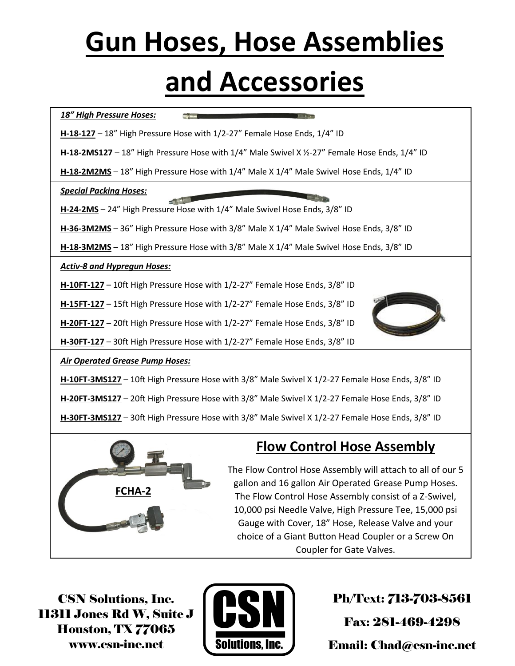## **Gun Hoses, Hose Assemblies and Accessories**



10,000 psi Needle Valve, High Pressure Tee, 15,000 psi Gauge with Cover, 18" Hose, Release Valve and your choice of a Giant Button Head Coupler or a Screw On Coupler for Gate Valves.

CSN Solutions, Inc. 11311 Jones Rd W, Suite J Houston, TX 77065 www.csn-inc.net



Ph/Text: 713-703-8561

Fax: 281-469-4298

Email: Chad@csn-inc.net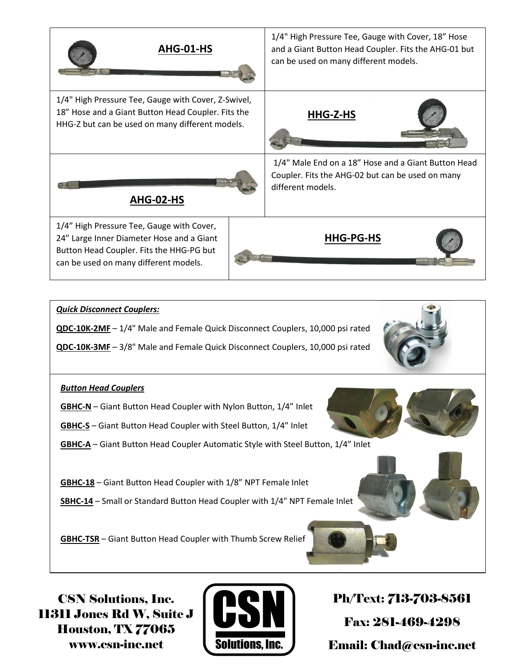

11311 Jones Rd W, Suite J Houston, TX 77065 www.csn-inc.net



Fax: 281-469-4298 Email: Chad@csn-inc.net